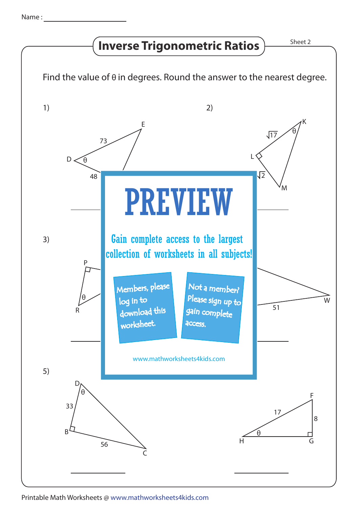## **Inverse Trigonometric Ratios**  $\frac{\text{Sheet 2}}{\text{Sheet 2}}$